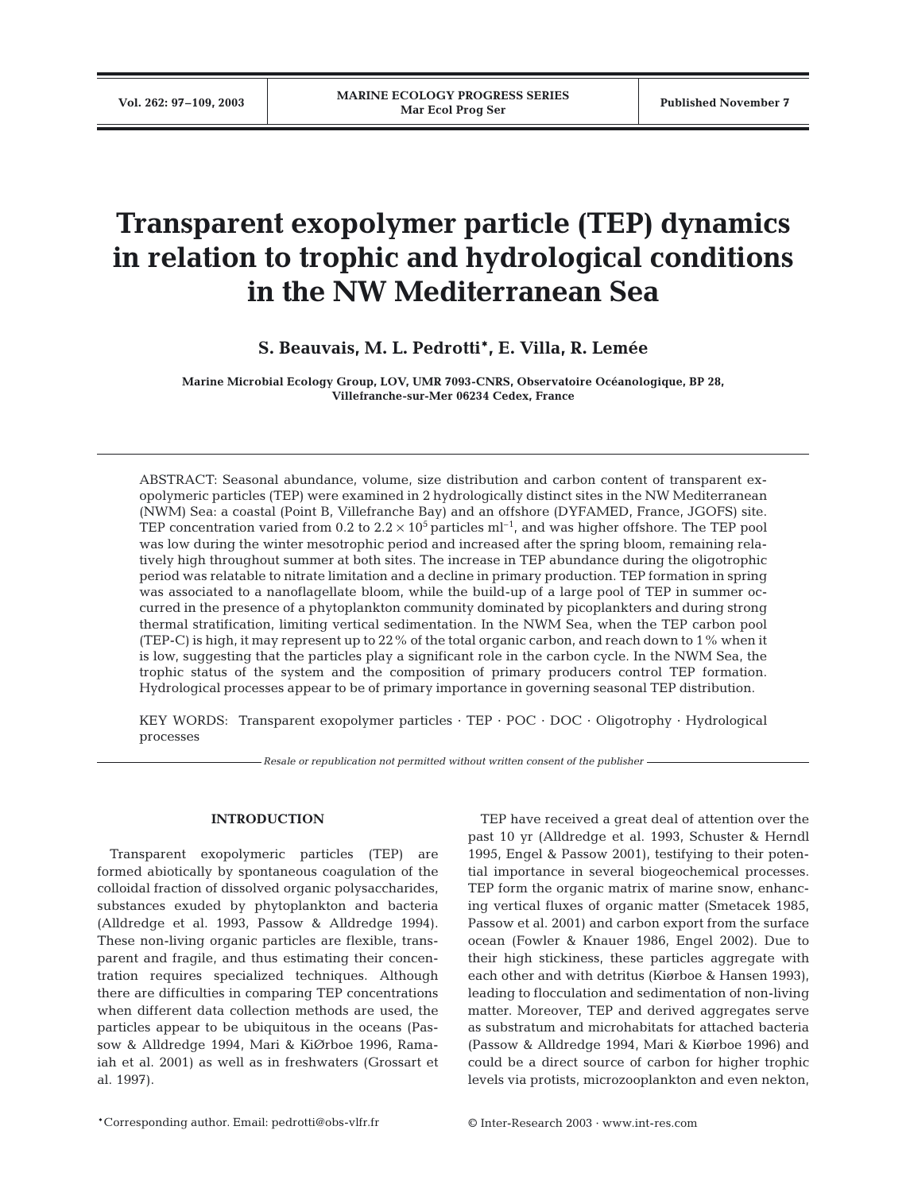# **Transparent exopolymer particle (TEP) dynamics in relation to trophic and hydrological conditions in the NW Mediterranean Sea**

**S. Beauvais, M. L. Pedrotti\*, E. Villa, R. Lemée**

**Marine Microbial Ecology Group, LOV, UMR 7093-CNRS, Observatoire Océanologique, BP 28, Villefranche-sur-Mer 06234 Cedex, France**

ABSTRACT: Seasonal abundance, volume, size distribution and carbon content of transparent exopolymeric particles (TEP) were examined in 2 hydrologically distinct sites in the NW Mediterranean (NWM) Sea: a coastal (Point B, Villefranche Bay) and an offshore (DYFAMED, France, JGOFS) site. TEP concentration varied from 0.2 to  $2.2 \times 10^5$  particles ml<sup>-1</sup>, and was higher offshore. The TEP pool was low during the winter mesotrophic period and increased after the spring bloom, remaining relatively high throughout summer at both sites. The increase in TEP abundance during the oligotrophic period was relatable to nitrate limitation and a decline in primary production. TEP formation in spring was associated to a nanoflagellate bloom, while the build-up of a large pool of TEP in summer occurred in the presence of a phytoplankton community dominated by picoplankters and during strong thermal stratification, limiting vertical sedimentation. In the NWM Sea, when the TEP carbon pool (TEP-C) is high, it may represent up to 22% of the total organic carbon, and reach down to 1% when it is low, suggesting that the particles play a significant role in the carbon cycle. In the NWM Sea, the trophic status of the system and the composition of primary producers control TEP formation. Hydrological processes appear to be of primary importance in governing seasonal TEP distribution.

KEY WORDS: Transparent exopolymer particles  $\cdot$  TEP  $\cdot$  POC  $\cdot$  DOC  $\cdot$  Oligotrophy  $\cdot$  Hydrological processes

*Resale or republication not permitted without written consent of the publisher*

# **INTRODUCTION**

Transparent exopolymeric particles (TEP) are formed abiotically by spontaneous coagulation of the colloidal fraction of dissolved organic polysaccharides, substances exuded by phytoplankton and bacteria (Alldredge et al. 1993, Passow & Alldredge 1994). These non-living organic particles are flexible, transparent and fragile, and thus estimating their concentration requires specialized techniques. Although there are difficulties in comparing TEP concentrations when different data collection methods are used, the particles appear to be ubiquitous in the oceans (Passow & Alldredge 1994, Mari & KiØrboe 1996, Ramaiah et al. 2001) as well as in freshwaters (Grossart et al. 1997).

TEP have received a great deal of attention over the past 10 yr (Alldredge et al. 1993, Schuster & Herndl 1995, Engel & Passow 2001), testifying to their potential importance in several biogeochemical processes. TEP form the organic matrix of marine snow, enhancing vertical fluxes of organic matter (Smetacek 1985, Passow et al. 2001) and carbon export from the surface ocean (Fowler & Knauer 1986, Engel 2002). Due to their high stickiness, these particles aggregate with each other and with detritus (Kiørboe & Hansen 1993), leading to flocculation and sedimentation of non-living matter. Moreover, TEP and derived aggregates serve as substratum and microhabitats for attached bacteria (Passow & Alldredge 1994, Mari & Kiørboe 1996) and could be a direct source of carbon for higher trophic levels via protists, microzooplankton and even nekton,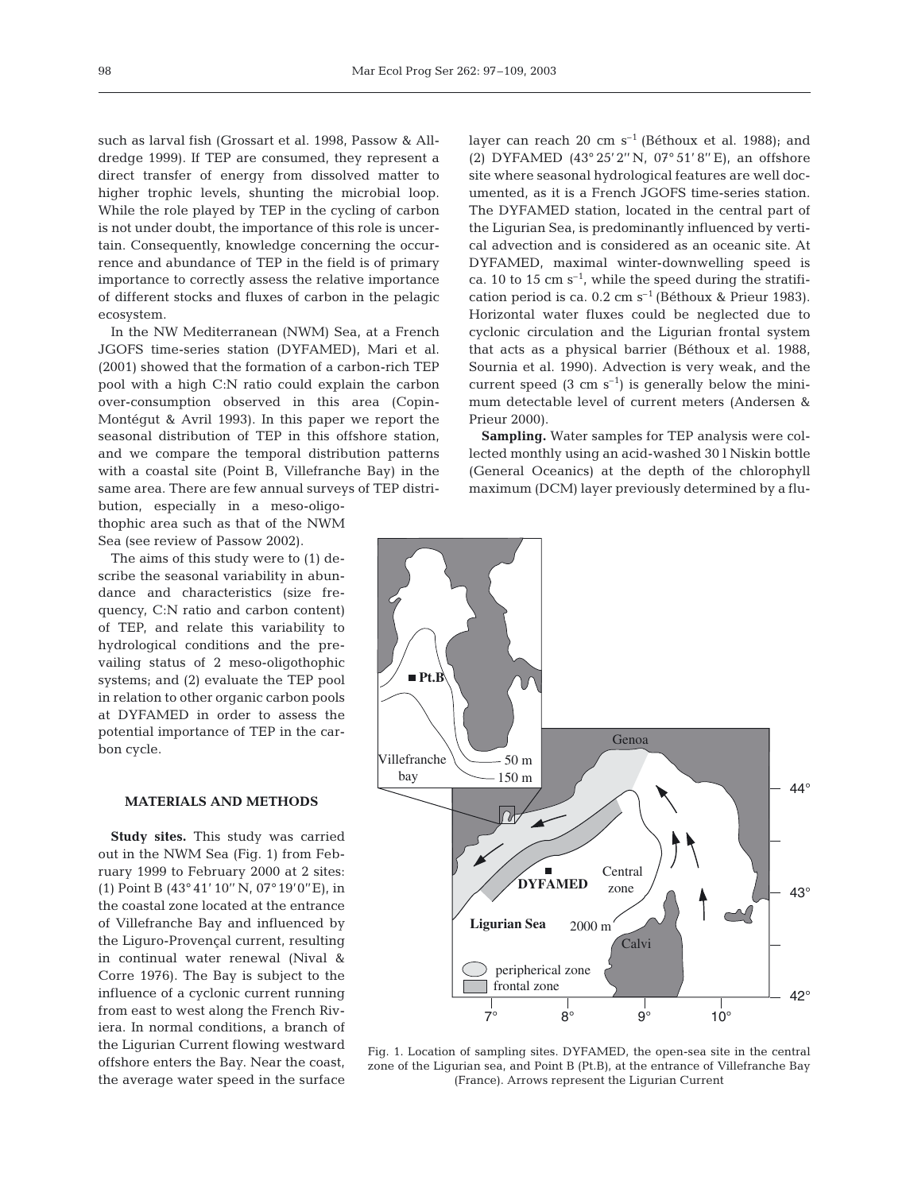such as larval fish (Grossart et al. 1998, Passow & Alldredge 1999). If TEP are consumed, they represent a direct transfer of energy from dissolved matter to higher trophic levels, shunting the microbial loop. While the role played by TEP in the cycling of carbon is not under doubt, the importance of this role is uncertain. Consequently, knowledge concerning the occurrence and abundance of TEP in the field is of primary importance to correctly assess the relative importance of different stocks and fluxes of carbon in the pelagic ecosystem.

In the NW Mediterranean (NWM) Sea, at a French JGOFS time-series station (DYFAMED), Mari et al. (2001) showed that the formation of a carbon-rich TEP pool with a high C:N ratio could explain the carbon over-consumption observed in this area (Copin-Montégut & Avril 1993). In this paper we report the seasonal distribution of TEP in this offshore station, and we compare the temporal distribution patterns with a coastal site (Point B, Villefranche Bay) in the same area. There are few annual surveys of TEP distri-

bution, especially in a meso-oligothophic area such as that of the NWM Sea (see review of Passow 2002).

The aims of this study were to (1) describe the seasonal variability in abundance and characteristics (size frequency, C:N ratio and carbon content) of TEP, and relate this variability to hydrological conditions and the prevailing status of 2 meso-oligothophic systems; and (2) evaluate the TEP pool in relation to other organic carbon pools at DYFAMED in order to assess the potential importance of TEP in the carbon cycle.

### **MATERIALS AND METHODS**

**Study sites.** This study was carried out in the NWM Sea (Fig. 1) from February 1999 to February 2000 at 2 sites: (1) Point B (43° 41' 10'' N, 07°19'0''E), in the coastal zone located at the entrance of Villefranche Bay and influenced by the Liguro-Provençal current, resulting in continual water renewal (Nival & Corre 1976). The Bay is subject to the influence of a cyclonic current running from east to west along the French Riviera. In normal conditions, a branch of the Ligurian Current flowing westward offshore enters the Bay. Near the coast, the average water speed in the surface

layer can reach 20 cm  $s^{-1}$  (Béthoux et al. 1988); and (2) DYFAMED (43° 25'2'' N, 07° 51' 8'' E), an offshore site where seasonal hydrological features are well documented, as it is a French JGOFS time-series station. The DYFAMED station, located in the central part of the Ligurian Sea, is predominantly influenced by vertical advection and is considered as an oceanic site. At DYFAMED, maximal winter-downwelling speed is ca. 10 to 15 cm  $s^{-1}$ , while the speed during the stratification period is ca.  $0.2 \text{ cm s}^{-1}$  (Béthoux & Prieur 1983). Horizontal water fluxes could be neglected due to cyclonic circulation and the Ligurian frontal system that acts as a physical barrier (Béthoux et al. 1988, Sournia et al. 1990). Advection is very weak, and the current speed  $(3 \text{ cm s}^{-1})$  is generally below the minimum detectable level of current meters (Andersen & Prieur 2000).

**Sampling.** Water samples for TEP analysis were collected monthly using an acid-washed 30 l Niskin bottle (General Oceanics) at the depth of the chlorophyll maximum (DCM) layer previously determined by a flu-



Fig. 1. Location of sampling sites. DYFAMED, the open-sea site in the central zone of the Ligurian sea, and Point B (Pt.B), at the entrance of Villefranche Bay (France). Arrows represent the Ligurian Current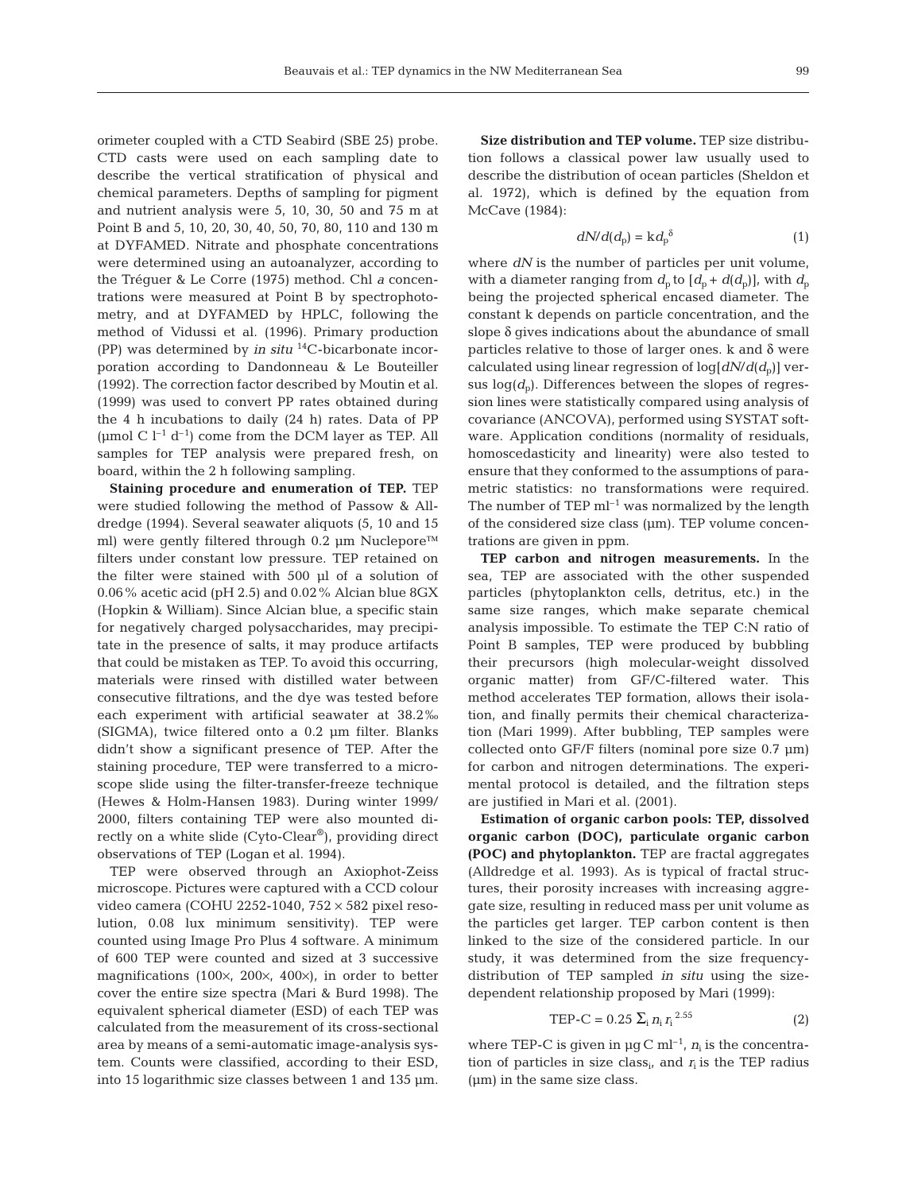orimeter coupled with a CTD Seabird (SBE 25) probe. CTD casts were used on each sampling date to describe the vertical stratification of physical and chemical parameters. Depths of sampling for pigment and nutrient analysis were 5, 10, 30, 50 and 75 m at Point B and 5, 10, 20, 30, 40, 50, 70, 80, 110 and 130 m at DYFAMED. Nitrate and phosphate concentrations were determined using an autoanalyzer, according to the Tréguer & Le Corre (1975) method. Chl *a* concentrations were measured at Point B by spectrophotometry, and at DYFAMED by HPLC, following the method of Vidussi et al. (1996). Primary production (PP) was determined by *in situ* 14C-bicarbonate incorporation according to Dandonneau & Le Bouteiller (1992). The correction factor described by Moutin et al. (1999) was used to convert PP rates obtained during the 4 h incubations to daily (24 h) rates. Data of PP (µmol C  $l^{-1}$  d<sup>-1</sup>) come from the DCM layer as TEP. All samples for TEP analysis were prepared fresh, on board, within the 2 h following sampling.

**Staining procedure and enumeration of TEP.** TEP were studied following the method of Passow & Alldredge (1994). Several seawater aliquots (5, 10 and 15 ml) were gently filtered through 0.2 µm Nuclepore™ filters under constant low pressure. TEP retained on the filter were stained with 500 µl of a solution of 0.06% acetic acid (pH 2.5) and 0.02% Alcian blue 8GX (Hopkin & William). Since Alcian blue, a specific stain for negatively charged polysaccharides, may precipitate in the presence of salts, it may produce artifacts that could be mistaken as TEP. To avoid this occurring, materials were rinsed with distilled water between consecutive filtrations, and the dye was tested before each experiment with artificial seawater at 38.2‰ (SIGMA), twice filtered onto a 0.2 µm filter. Blanks didn't show a significant presence of TEP. After the staining procedure, TEP were transferred to a microscope slide using the filter-transfer-freeze technique (Hewes & Holm-Hansen 1983). During winter 1999/ 2000, filters containing TEP were also mounted directly on a white slide (Cyto-Clear®), providing direct observations of TEP (Logan et al. 1994).

TEP were observed through an Axiophot-Zeiss microscope. Pictures were captured with a CCD colour video camera (COHU 2252-1040, 752  $\times$  582 pixel resolution, 0.08 lux minimum sensitivity). TEP were counted using Image Pro Plus 4 software. A minimum of 600 TEP were counted and sized at 3 successive magnifications (100×, 200×, 400×), in order to better cover the entire size spectra (Mari & Burd 1998). The equivalent spherical diameter (ESD) of each TEP was calculated from the measurement of its cross-sectional area by means of a semi-automatic image-analysis system. Counts were classified, according to their ESD, into 15 logarithmic size classes between 1 and 135 µm.

**Size distribution and TEP volume.** TEP size distribution follows a classical power law usually used to describe the distribution of ocean particles (Sheldon et al. 1972), which is defined by the equation from McCave (1984):

$$
dN/d(d_p) = k d_p^{\delta} \tag{1}
$$

where  $dN$  is the number of particles per unit volume, with a diameter ranging from  $d_p$  to  $[d_p + d(d_p)]$ , with  $d_p$ being the projected spherical encased diameter. The constant k depends on particle concentration, and the slope δ gives indications about the abundance of small particles relative to those of larger ones.  $k$  and  $\delta$  were calculated using linear regression of  $log[dN/d(d<sub>p</sub>)]$  versus  $log(d<sub>p</sub>)$ . Differences between the slopes of regression lines were statistically compared using analysis of covariance (ANCOVA), performed using SYSTAT software. Application conditions (normality of residuals, homoscedasticity and linearity) were also tested to ensure that they conformed to the assumptions of parametric statistics: no transformations were required. The number of TEP  $ml^{-1}$  was normalized by the length of the considered size class (µm). TEP volume concentrations are given in ppm.

**TEP carbon and nitrogen measurements.** In the sea, TEP are associated with the other suspended particles (phytoplankton cells, detritus, etc.) in the same size ranges, which make separate chemical analysis impossible. To estimate the TEP C:N ratio of Point B samples, TEP were produced by bubbling their precursors (high molecular-weight dissolved organic matter) from GF/C-filtered water. This method accelerates TEP formation, allows their isolation, and finally permits their chemical characterization (Mari 1999). After bubbling, TEP samples were collected onto GF/F filters (nominal pore size 0.7 µm) for carbon and nitrogen determinations. The experimental protocol is detailed, and the filtration steps are justified in Mari et al. (2001).

**Estimation of organic carbon pools: TEP, dissolved organic carbon (DOC), particulate organic carbon (POC) and phytoplankton.** TEP are fractal aggregates (Alldredge et al. 1993). As is typical of fractal structures, their porosity increases with increasing aggregate size, resulting in reduced mass per unit volume as the particles get larger. TEP carbon content is then linked to the size of the considered particle. In our study, it was determined from the size frequencydistribution of TEP sampled *in situ* using the sizedependent relationship proposed by Mari (1999):

$$
TEP-C = 0.25 \sum_{i} n_i r_i^{2.55}
$$
 (2)

where TEP-C is given in  $\mu$ g C m<sup>-1</sup>,  $n_i$  is the concentration of particles in size class<sub>i</sub>, and  $r_i$  is the TEP radius (µm) in the same size class.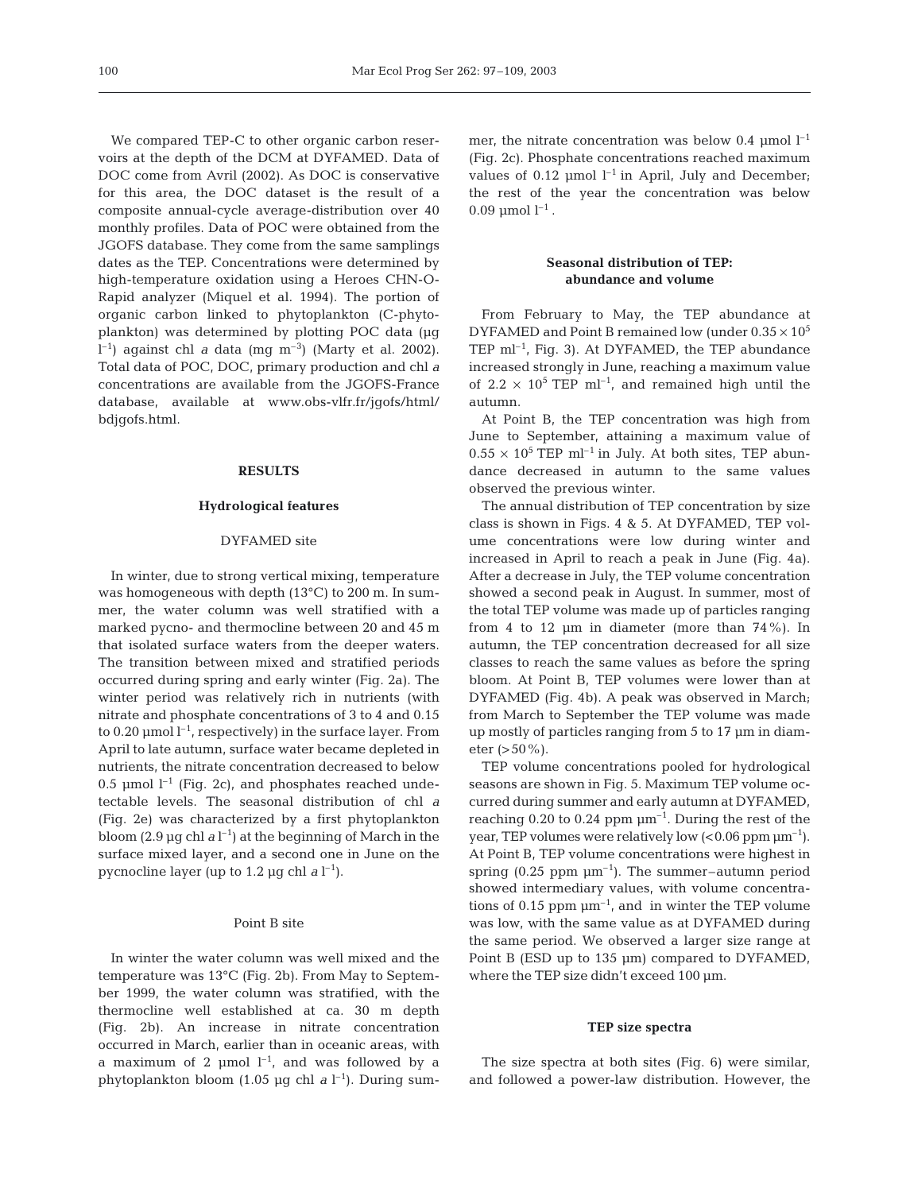We compared TEP-C to other organic carbon reservoirs at the depth of the DCM at DYFAMED. Data of DOC come from Avril (2002). As DOC is conservative for this area, the DOC dataset is the result of a composite annual-cycle average-distribution over 40 monthly profiles. Data of POC were obtained from the JGOFS database. They come from the same samplings dates as the TEP. Concentrations were determined by high-temperature oxidation using a Heroes CHN-O-Rapid analyzer (Miquel et al. 1994). The portion of organic carbon linked to phytoplankton (C-phytoplankton) was determined by plotting POC data (µg l –1) against chl *a* data (mg m–3) (Marty et al. 2002). Total data of POC, DOC, primary production and chl *a* concentrations are available from the JGOFS-France database, available at www.obs-vlfr.fr/jgofs/html/ bdjgofs.html.

# **RESULTS**

#### **Hydrological features**

# DYFAMED site

In winter, due to strong vertical mixing, temperature was homogeneous with depth (13°C) to 200 m. In summer, the water column was well stratified with a marked pycno- and thermocline between 20 and 45 m that isolated surface waters from the deeper waters. The transition between mixed and stratified periods occurred during spring and early winter (Fig. 2a). The winter period was relatively rich in nutrients (with nitrate and phosphate concentrations of 3 to 4 and 0.15 to 0.20  $\mu$ mol  $l^{-1}$ , respectively) in the surface layer. From April to late autumn, surface water became depleted in nutrients, the nitrate concentration decreased to below 0.5 µmol  $l^{-1}$  (Fig. 2c), and phosphates reached undetectable levels. The seasonal distribution of chl *a* (Fig. 2e) was characterized by a first phytoplankton bloom (2.9  $\mu$ g chl *a* l<sup>-1</sup>) at the beginning of March in the surface mixed layer, and a second one in June on the pycnocline layer (up to 1.2  $\mu$ g chl *a* l<sup>-1</sup>).

#### Point B site

In winter the water column was well mixed and the temperature was 13°C (Fig. 2b). From May to September 1999, the water column was stratified, with the thermocline well established at ca. 30 m depth (Fig. 2b). An increase in nitrate concentration occurred in March, earlier than in oceanic areas, with a maximum of 2  $\mu$ mol  $l^{-1}$ , and was followed by a phytoplankton bloom (1.05 µg chl  $a l^{-1}$ ). During summer, the nitrate concentration was below 0.4 umol  $l^{-1}$ (Fig. 2c). Phosphate concentrations reached maximum values of 0.12 umol  $l^{-1}$  in April, July and December: the rest of the year the concentration was below  $0.09 \text{ \mu}$  mol  $l^{-1}$ .

# **Seasonal distribution of TEP: abundance and volume**

From February to May, the TEP abundance at DYFAMED and Point B remained low (under  $0.35 \times 10^5$ TEP ml<sup>-1</sup>, Fig. 3). At DYFAMED, the TEP abundance increased strongly in June, reaching a maximum value of  $2.2 \times 10^5$  TEP ml<sup>-1</sup>, and remained high until the autumn.

At Point B, the TEP concentration was high from June to September, attaining a maximum value of  $0.55 \times 10^5$  TEP ml<sup>-1</sup> in July. At both sites, TEP abundance decreased in autumn to the same values observed the previous winter.

The annual distribution of TEP concentration by size class is shown in Figs. 4 & 5. At DYFAMED, TEP volume concentrations were low during winter and increased in April to reach a peak in June (Fig. 4a). After a decrease in July, the TEP volume concentration showed a second peak in August. In summer, most of the total TEP volume was made up of particles ranging from 4 to 12  $\mu$ m in diameter (more than 74%). In autumn, the TEP concentration decreased for all size classes to reach the same values as before the spring bloom. At Point B, TEP volumes were lower than at DYFAMED (Fig. 4b). A peak was observed in March; from March to September the TEP volume was made up mostly of particles ranging from 5 to 17 µm in diameter  $(>50\%)$ .

TEP volume concentrations pooled for hydrological seasons are shown in Fig. 5. Maximum TEP volume occurred during summer and early autumn at DYFAMED, reaching 0.20 to 0.24 ppm  $\mu$ m<sup>-1</sup>. During the rest of the year, TEP volumes were relatively low  $(< 0.06$  ppm  $\mu$ m<sup>-1</sup>). At Point B, TEP volume concentrations were highest in spring (0.25 ppm  $\mu$ m<sup>-1</sup>). The summer-autumn period showed intermediary values, with volume concentrations of 0.15 ppm  $\mu$ m<sup>-1</sup>, and in winter the TEP volume was low, with the same value as at DYFAMED during the same period. We observed a larger size range at Point B (ESD up to 135 µm) compared to DYFAMED, where the TEP size didn't exceed 100 µm.

#### **TEP size spectra**

The size spectra at both sites (Fig. 6) were similar, and followed a power-law distribution. However, the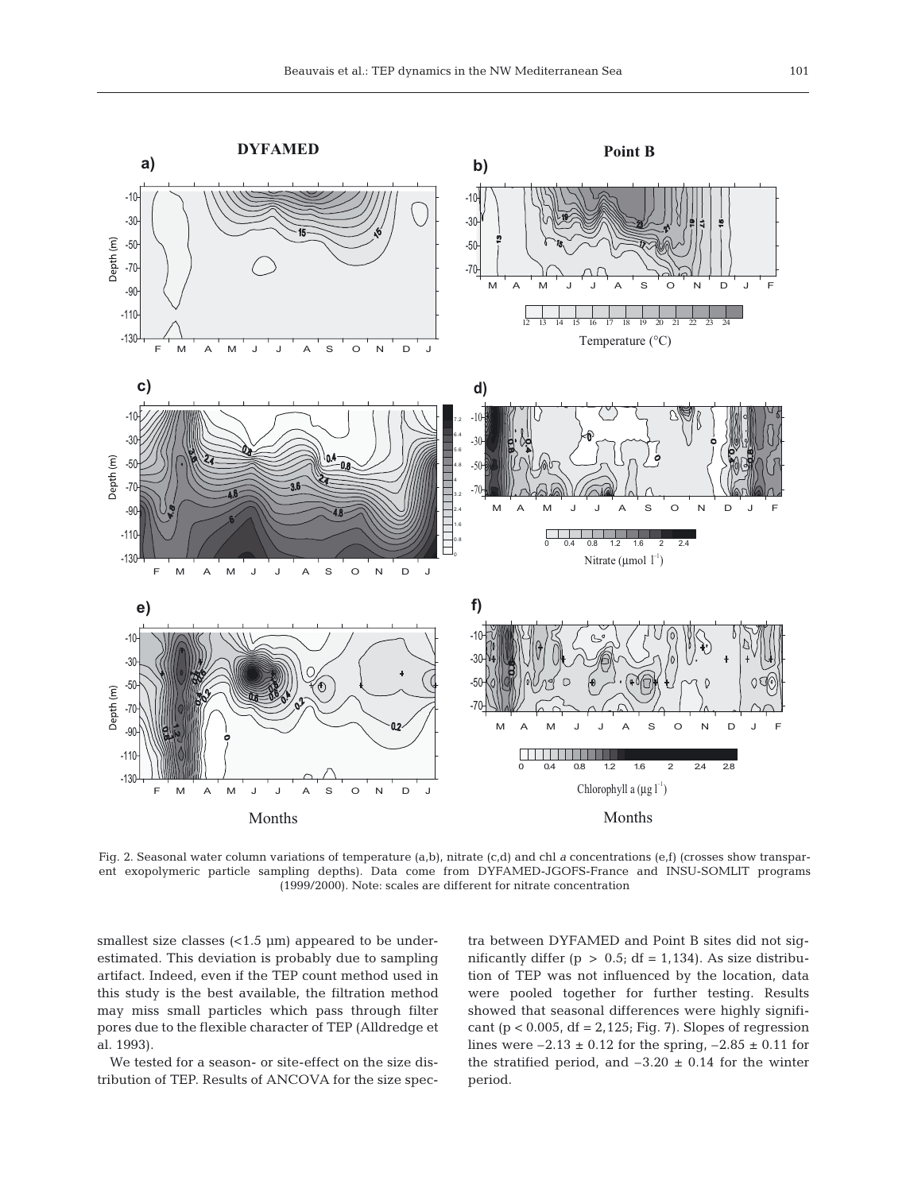

Fig. 2. Seasonal water column variations of temperature (a,b), nitrate (c,d) and chl *a* concentrations (e,f) (crosses show transparent exopolymeric particle sampling depths). Data come from DYFAMED-JGOFS-France and INSU-SOMLIT programs (1999/2000). Note: scales are different for nitrate concentration

smallest size classes  $\left($ <1.5  $\mu$ m) appeared to be underestimated. This deviation is probably due to sampling artifact. Indeed, even if the TEP count method used in this study is the best available, the filtration method may miss small particles which pass through filter pores due to the flexible character of TEP (Alldredge et al. 1993).

We tested for a season- or site-effect on the size distribution of TEP. Results of ANCOVA for the size spectra between DYFAMED and Point B sites did not significantly differ ( $p > 0.5$ ; df = 1,134). As size distribution of TEP was not influenced by the location, data were pooled together for further testing. Results showed that seasonal differences were highly significant ( $p < 0.005$ , df = 2,125; Fig. 7). Slopes of regression lines were  $-2.13 \pm 0.12$  for the spring,  $-2.85 \pm 0.11$  for the stratified period, and  $-3.20 \pm 0.14$  for the winter period.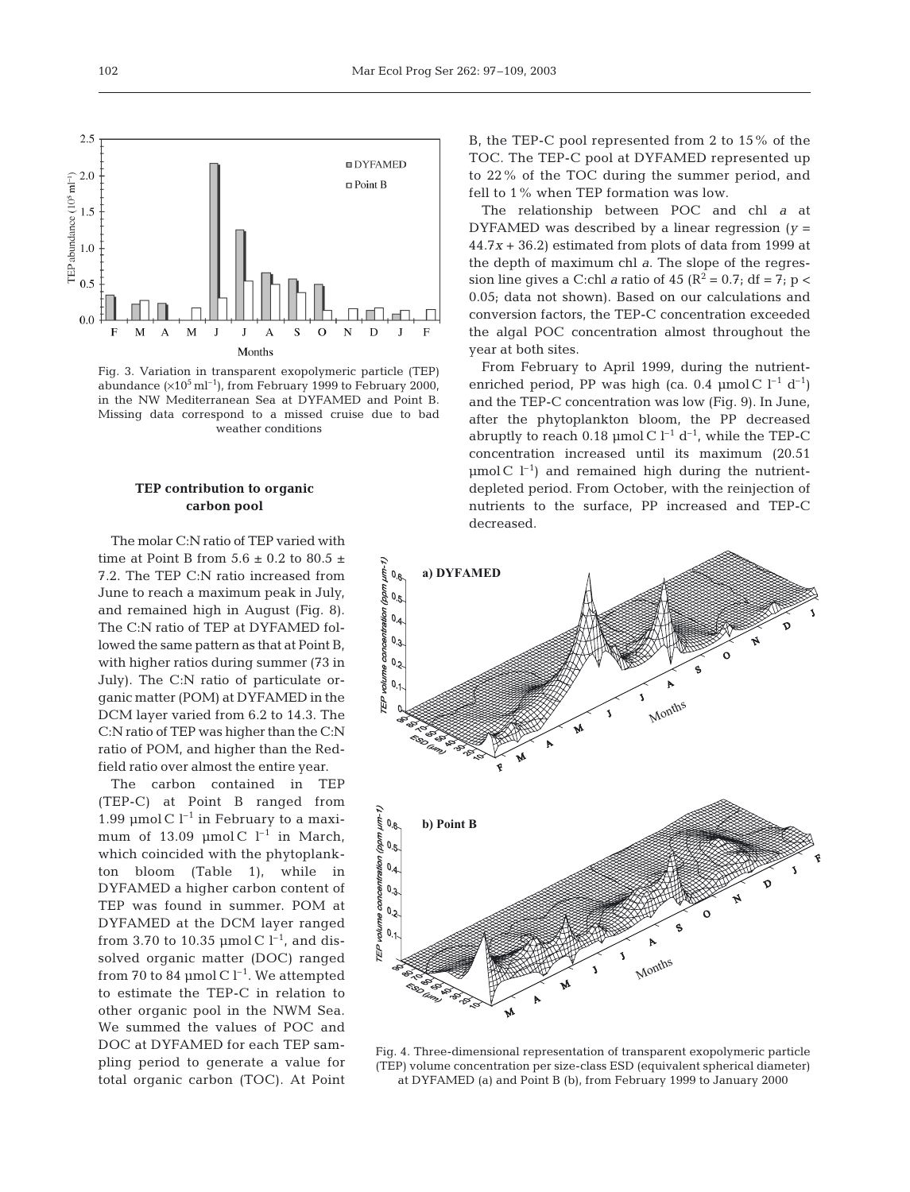

Fig. 3. Variation in transparent exopolymeric particle (TEP) abundance  $(x10^5 \text{ ml}^{-1})$ , from February 1999 to February 2000, in the NW Mediterranean Sea at DYFAMED and Point B. Missing data correspond to a missed cruise due to bad weather conditions

# **TEP contribution to organic carbon pool**

The molar C:N ratio of TEP varied with time at Point B from  $5.6 \pm 0.2$  to  $80.5 \pm 1.5$ 7.2. The TEP C:N ratio increased from June to reach a maximum peak in July, and remained high in August (Fig. 8). The C:N ratio of TEP at DYFAMED followed the same pattern as that at Point B, with higher ratios during summer (73 in July). The C:N ratio of particulate organic matter (POM) at DYFAMED in the DCM layer varied from 6.2 to 14.3. The C:N ratio of TEP was higher than the C:N ratio of POM, and higher than the Redfield ratio over almost the entire year.

The carbon contained in TEP (TEP-C) at Point B ranged from 1.99 µmol C  $l^{-1}$  in February to a maximum of 13.09  $\mu$ mol C l<sup>-1</sup> in March, which coincided with the phytoplankton bloom (Table 1), while in DYFAMED a higher carbon content of TEP was found in summer. POM at DYFAMED at the DCM layer ranged from 3.70 to 10.35  $\mu$ mol C l<sup>-1</sup>, and dissolved organic matter (DOC) ranged from 70 to 84 µmol C  $l^{-1}$ . We attempted to estimate the TEP-C in relation to other organic pool in the NWM Sea. We summed the values of POC and DOC at DYFAMED for each TEP sampling period to generate a value for total organic carbon (TOC). At Point B, the TEP-C pool represented from 2 to 15% of the TOC. The TEP-C pool at DYFAMED represented up to 22% of the TOC during the summer period, and fell to 1% when TEP formation was low.

The relationship between POC and chl *a* at DYFAMED was described by a linear regression (*y* = 44.7*x* + 36.2) estimated from plots of data from 1999 at the depth of maximum chl *a*. The slope of the regression line gives a C:chl *a* ratio of  $45 (R^2 = 0.7$ ; df = 7; p < 0.05; data not shown). Based on our calculations and conversion factors, the TEP-C concentration exceeded the algal POC concentration almost throughout the year at both sites.

From February to April 1999, during the nutrientenriched period, PP was high (ca. 0.4 µmol C  $l^{-1}$  d<sup>-1</sup>) and the TEP-C concentration was low (Fig. 9). In June, after the phytoplankton bloom, the PP decreased abruptly to reach 0.18 µmol C  $l^{-1}$  d<sup>-1</sup>, while the TEP-C concentration increased until its maximum (20.51  $\mu$ mol C l<sup>-1</sup>) and remained high during the nutrientdepleted period. From October, with the reinjection of nutrients to the surface, PP increased and TEP-C decreased.



Fig. 4. Three-dimensional representation of transparent exopolymeric particle (TEP) volume concentration per size-class ESD (equivalent spherical diameter) at DYFAMED (a) and Point B (b), from February 1999 to January 2000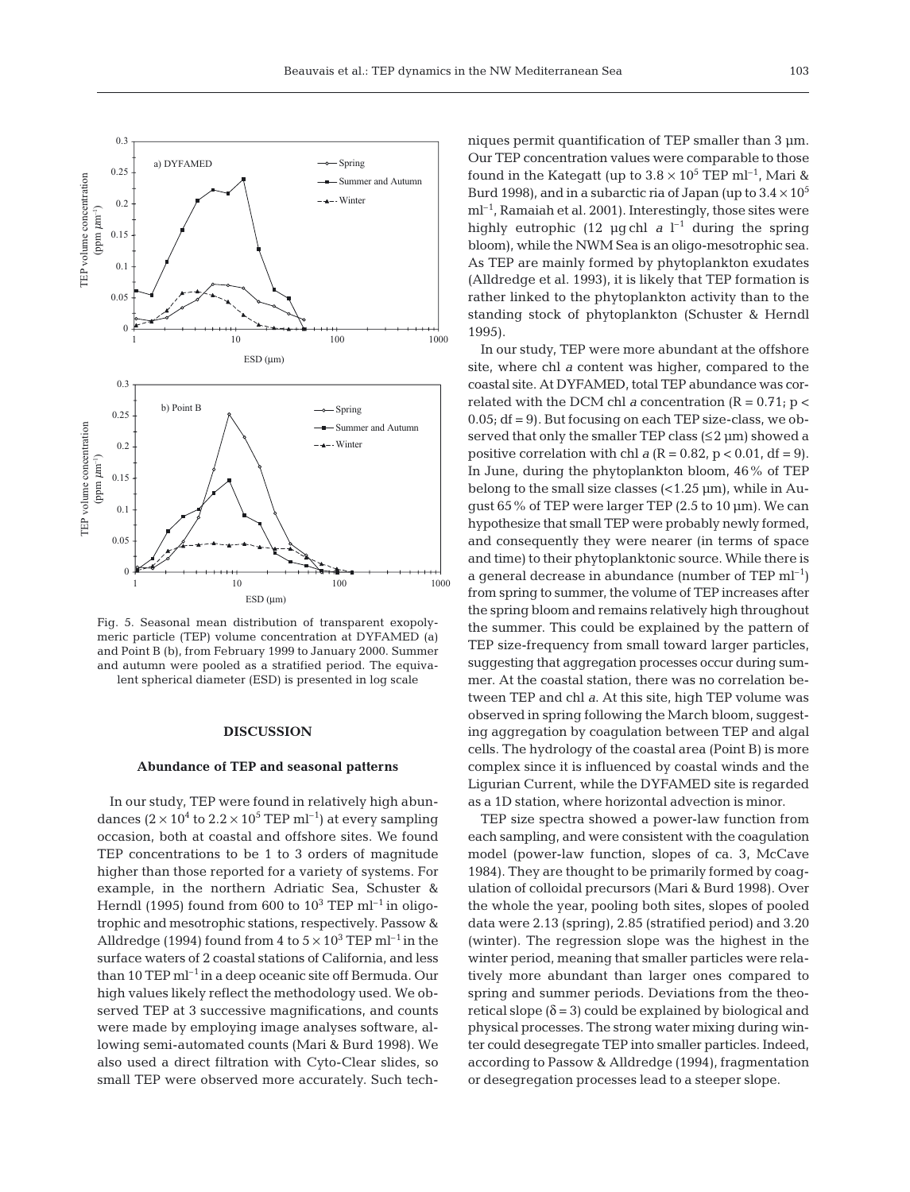

meric particle (TEP) volume concentration at DYFAMED (a) and Point B (b), from February 1999 to January 2000. Summer and autumn were pooled as a stratified period. The equivalent spherical diameter (ESD) is presented in log scale

#### **DISCUSSION**

#### **Abundance of TEP and seasonal patterns**

In our study, TEP were found in relatively high abundances  $(2 \times 10^4$  to  $2.2 \times 10^5$  TEP ml<sup>-1</sup>) at every sampling occasion, both at coastal and offshore sites. We found TEP concentrations to be 1 to 3 orders of magnitude higher than those reported for a variety of systems. For example, in the northern Adriatic Sea, Schuster & Herndl (1995) found from 600 to  $10^3$  TEP ml<sup>-1</sup> in oligotrophic and mesotrophic stations, respectively. Passow & Alldredge (1994) found from 4 to  $5 \times 10^3$  TEP ml<sup>-1</sup> in the surface waters of 2 coastal stations of California, and less than 10 TEP  $ml^{-1}$  in a deep oceanic site off Bermuda. Our high values likely reflect the methodology used. We observed TEP at 3 successive magnifications, and counts were made by employing image analyses software, allowing semi-automated counts (Mari & Burd 1998). We also used a direct filtration with Cyto-Clear slides, so small TEP were observed more accurately. Such tech-

niques permit quantification of TEP smaller than 3 um. Our TEP concentration values were comparable to those found in the Kategatt (up to  $3.8 \times 10^5$  TEP ml<sup>-1</sup>. Mari & Burd 1998), and in a subarctic ria of Japan (up to  $3.4 \times 10^5$ m<sup>-1</sup>, Ramaiah et al. 2001). Interestingly, those sites were highly eutrophic (12  $\mu$ g chl *a* l<sup>-1</sup> during the spring bloom), while the NWM Sea is an oligo-mesotrophic sea. As TEP are mainly formed by phytoplankton exudates (Alldredge et al. 1993), it is likely that TEP formation is rather linked to the phytoplankton activity than to the standing stock of phytoplankton (Schuster & Herndl 1995).

In our study, TEP were more abundant at the offshore site, where chl *a* content was higher, compared to the coastal site. At DYFAMED, total TEP abundance was correlated with the DCM chl *a* concentration  $(R = 0.71; p <$ 0.05; df = 9)*.* But focusing on each TEP size-class, we observed that only the smaller TEP class  $(\leq 2 \mu m)$  showed a positive correlation with chl  $a (R = 0.82, p < 0.01, df = 9)$ . In June, during the phytoplankton bloom, 46% of TEP belong to the small size classes  $\left($ <1.25  $\mu$ m), while in August 65% of TEP were larger TEP (2.5 to 10 µm). We can hypothesize that small TEP were probably newly formed, and consequently they were nearer (in terms of space and time) to their phytoplanktonic source. While there is a general decrease in abundance (number of TEP  $ml^{-1}$ ) from spring to summer, the volume of TEP increases after the spring bloom and remains relatively high throughout the summer. This could be explained by the pattern of TEP size-frequency from small toward larger particles, suggesting that aggregation processes occur during summer. At the coastal station, there was no correlation between TEP and chl *a*. At this site, high TEP volume was observed in spring following the March bloom, suggesting aggregation by coagulation between TEP and algal cells. The hydrology of the coastal area (Point B) is more complex since it is influenced by coastal winds and the Ligurian Current, while the DYFAMED site is regarded as a 1D station, where horizontal advection is minor.

TEP size spectra showed a power-law function from each sampling, and were consistent with the coagulation model (power-law function, slopes of ca. 3, McCave 1984). They are thought to be primarily formed by coagulation of colloidal precursors (Mari & Burd 1998). Over the whole the year, pooling both sites, slopes of pooled data were 2.13 (spring), 2.85 (stratified period) and 3.20 (winter). The regression slope was the highest in the winter period, meaning that smaller particles were relatively more abundant than larger ones compared to spring and summer periods. Deviations from the theoretical slope  $(\delta = 3)$  could be explained by biological and physical processes. The strong water mixing during winter could desegregate TEP into smaller particles. Indeed, according to Passow & Alldredge (1994), fragmentation or desegregation processes lead to a steeper slope.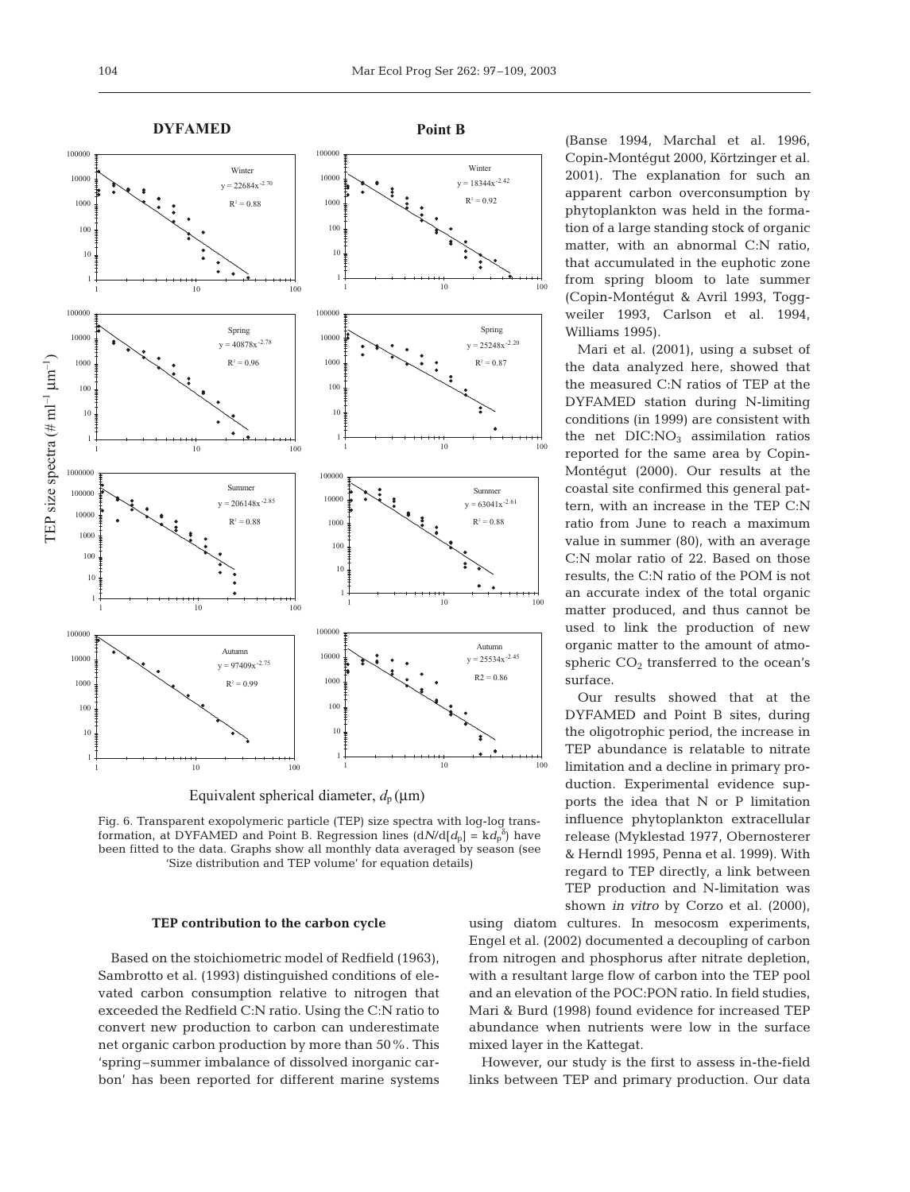



Fig. 6. Transparent exopolymeric particle (TEP) size spectra with log-log transformation, at DYFAMED and Point B. Regression lines  $(dN/d[d_p] = kd_p^{\delta})$  have been fitted to the data. Graphs show all monthly data averaged by season (see 'Size distribution and TEP volume' for equation details)

#### **TEP contribution to the carbon cycle**

Based on the stoichiometric model of Redfield (1963), Sambrotto et al. (1993) distinguished conditions of elevated carbon consumption relative to nitrogen that exceeded the Redfield C:N ratio. Using the C:N ratio to convert new production to carbon can underestimate net organic carbon production by more than 50%. This 'spring–summer imbalance of dissolved inorganic carbon' has been reported for different marine systems (Banse 1994, Marchal et al. 1996, Copin-Montégut 2000, Körtzinger et al. 2001). The explanation for such an apparent carbon overconsumption by phytoplankton was held in the formation of a large standing stock of organic matter, with an abnormal C:N ratio, that accumulated in the euphotic zone from spring bloom to late summer (Copin-Montégut & Avril 1993, Toggweiler 1993, Carlson et al. 1994, Williams 1995).

Mari et al. (2001), using a subset of the data analyzed here, showed that the measured C:N ratios of TEP at the DYFAMED station during N-limiting conditions (in 1999) are consistent with the net  $DIC:NO<sub>3</sub>$  assimilation ratios reported for the same area by Copin-Montégut (2000). Our results at the coastal site confirmed this general pattern, with an increase in the TEP C:N ratio from June to reach a maximum value in summer (80), with an average C:N molar ratio of 22. Based on those results, the C:N ratio of the POM is not an accurate index of the total organic matter produced, and thus cannot be used to link the production of new organic matter to the amount of atmospheric  $CO<sub>2</sub>$  transferred to the ocean's surface.

Our results showed that at the DYFAMED and Point B sites, during the oligotrophic period, the increase in TEP abundance is relatable to nitrate limitation and a decline in primary production. Experimental evidence supports the idea that N or P limitation influence phytoplankton extracellular release (Myklestad 1977, Obernosterer & Herndl 1995, Penna et al. 1999). With regard to TEP directly, a link between TEP production and N-limitation was shown *in vitro* by Corzo et al. (2000),

using diatom cultures. In mesocosm experiments, Engel et al. (2002) documented a decoupling of carbon from nitrogen and phosphorus after nitrate depletion, with a resultant large flow of carbon into the TEP pool and an elevation of the POC:PON ratio. In field studies, Mari & Burd (1998) found evidence for increased TEP abundance when nutrients were low in the surface mixed layer in the Kattegat.

However, our study is the first to assess in-the-field links between TEP and primary production. Our data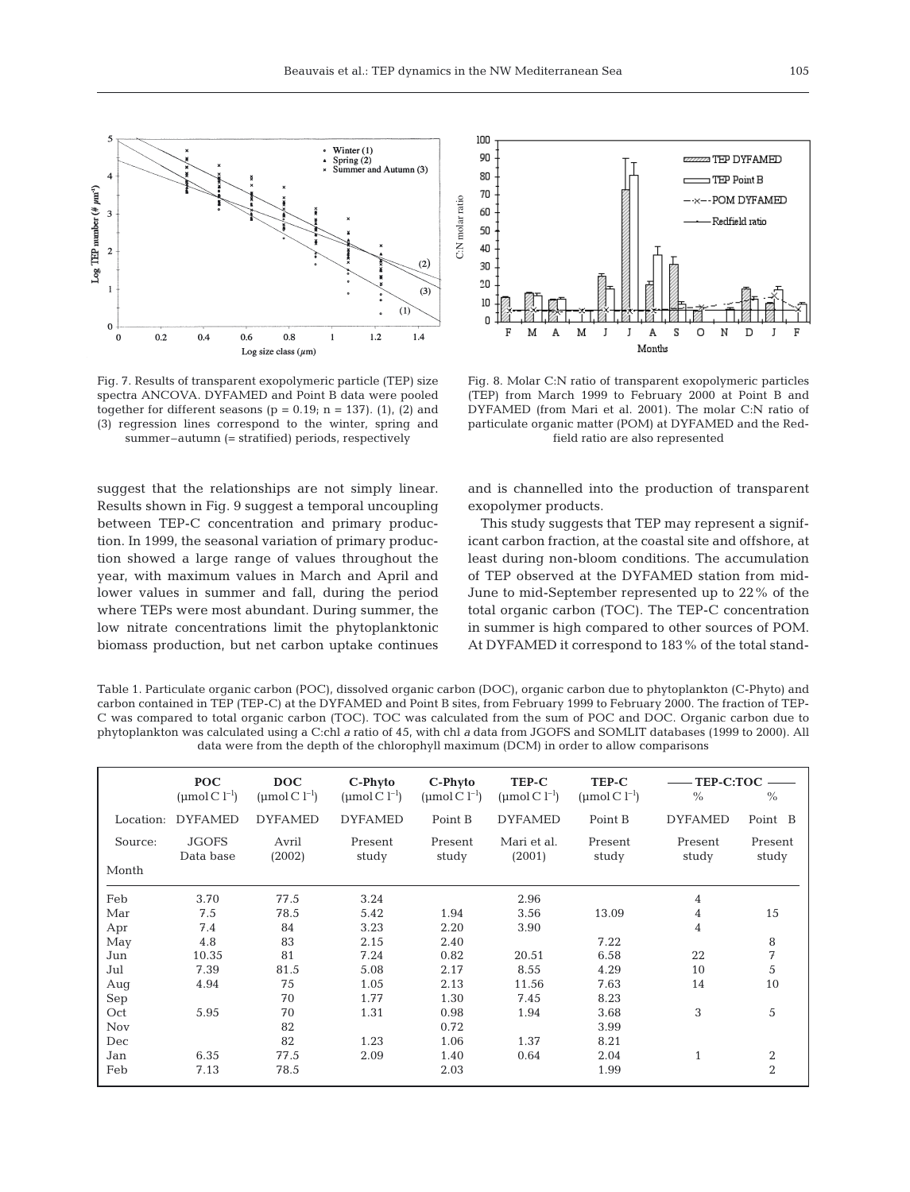

Fig. 7. Results of transparent exopolymeric particle (TEP) size spectra ANCOVA. DYFAMED and Point B data were pooled together for different seasons ( $p = 0.19$ ;  $n = 137$ ). (1), (2) and (3) regression lines correspond to the winter, spring and summer–autumn (= stratified) periods, respectively

suggest that the relationships are not simply linear. Results shown in Fig. 9 suggest a temporal uncoupling between TEP-C concentration and primary production. In 1999, the seasonal variation of primary production showed a large range of values throughout the year, with maximum values in March and April and lower values in summer and fall, during the period where TEPs were most abundant. During summer, the low nitrate concentrations limit the phytoplanktonic biomass production, but net carbon uptake continues



Fig. 8. Molar C:N ratio of transparent exopolymeric particles (TEP) from March 1999 to February 2000 at Point B and DYFAMED (from Mari et al. 2001). The molar C:N ratio of particulate organic matter (POM) at DYFAMED and the Redfield ratio are also represented

and is channelled into the production of transparent exopolymer products.

This study suggests that TEP may represent a significant carbon fraction, at the coastal site and offshore, at least during non-bloom conditions. The accumulation of TEP observed at the DYFAMED station from mid-June to mid-September represented up to 22% of the total organic carbon (TOC). The TEP-C concentration in summer is high compared to other sources of POM. At DYFAMED it correspond to 183% of the total stand-

Table 1. Particulate organic carbon (POC), dissolved organic carbon (DOC), organic carbon due to phytoplankton (C-Phyto) and carbon contained in TEP (TEP-C) at the DYFAMED and Point B sites, from February 1999 to February 2000. The fraction of TEP-C was compared to total organic carbon (TOC). TOC was calculated from the sum of POC and DOC. Organic carbon due to phytoplankton was calculated using a C:chl *a* ratio of 45, with chl *a* data from JGOFS and SOMLIT databases (1999 to 2000). All data were from the depth of the chlorophyll maximum (DCM) in order to allow comparisons

|            | <b>POC</b><br>(umol C $l^{-1}$ ) | <b>DOC</b><br>(umol $C$ l <sup>-1</sup> ) | C-Phyto<br>(umol C $1^{-1}$ ) | C-Phyto<br>(umol C $l^{-1}$ ) | TEP-C<br>(umol C $1^{-1}$ ) | TEP-C<br>(umol $C$ l <sup>-1</sup> ) | TEP-C:TOC<br>$\frac{0}{0}$<br>$\%$ |                |
|------------|----------------------------------|-------------------------------------------|-------------------------------|-------------------------------|-----------------------------|--------------------------------------|------------------------------------|----------------|
|            |                                  |                                           |                               |                               |                             |                                      |                                    |                |
| Location:  | <b>DYFAMED</b>                   | <b>DYFAMED</b>                            | <b>DYFAMED</b>                | Point B                       | <b>DYFAMED</b>              | Point B                              | <b>DYFAMED</b>                     | Point B        |
| Source:    | <b>JGOFS</b>                     | Avril                                     | Present                       | Present                       | Mari et al.                 | Present                              | Present                            | Present        |
|            | Data base                        | (2002)                                    | study                         | study                         | (2001)                      | study                                | study                              | study          |
| Month      |                                  |                                           |                               |                               |                             |                                      |                                    |                |
| Feb        | 3.70                             | 77.5                                      | 3.24                          |                               | 2.96                        |                                      | 4                                  |                |
| Mar        | 7.5                              | 78.5                                      | 5.42                          | 1.94                          | 3.56                        | 13.09                                | 4                                  | 15             |
| Apr        | 7.4                              | 84                                        | 3.23                          | 2.20                          | 3.90                        |                                      | 4                                  |                |
| May        | 4.8                              | 83                                        | 2.15                          | 2.40                          |                             | 7.22                                 |                                    | 8              |
| Jun        | 10.35                            | 81                                        | 7.24                          | 0.82                          | 20.51                       | 6.58                                 | 22                                 | 7              |
| Jul        | 7.39                             | 81.5                                      | 5.08                          | 2.17                          | 8.55                        | 4.29                                 | 10                                 | 5              |
| Aug        | 4.94                             | 75                                        | 1.05                          | 2.13                          | 11.56                       | 7.63                                 | 14                                 | 10             |
| Sep        |                                  | 70                                        | 1.77                          | 1.30                          | 7.45                        | 8.23                                 |                                    |                |
| Oct        | 5.95                             | 70                                        | 1.31                          | 0.98                          | 1.94                        | 3.68                                 | 3                                  | 5              |
| <b>Nov</b> |                                  | 82                                        |                               | 0.72                          |                             | 3.99                                 |                                    |                |
| Dec        |                                  | 82                                        | 1.23                          | 1.06                          | 1.37                        | 8.21                                 |                                    |                |
| Jan        | 6.35                             | 77.5                                      | 2.09                          | 1.40                          | 0.64                        | 2.04                                 | $\mathbf{1}$                       | $\overline{2}$ |
| Feb        | 7.13                             | 78.5                                      |                               | 2.03                          |                             | 1.99                                 |                                    | $\overline{2}$ |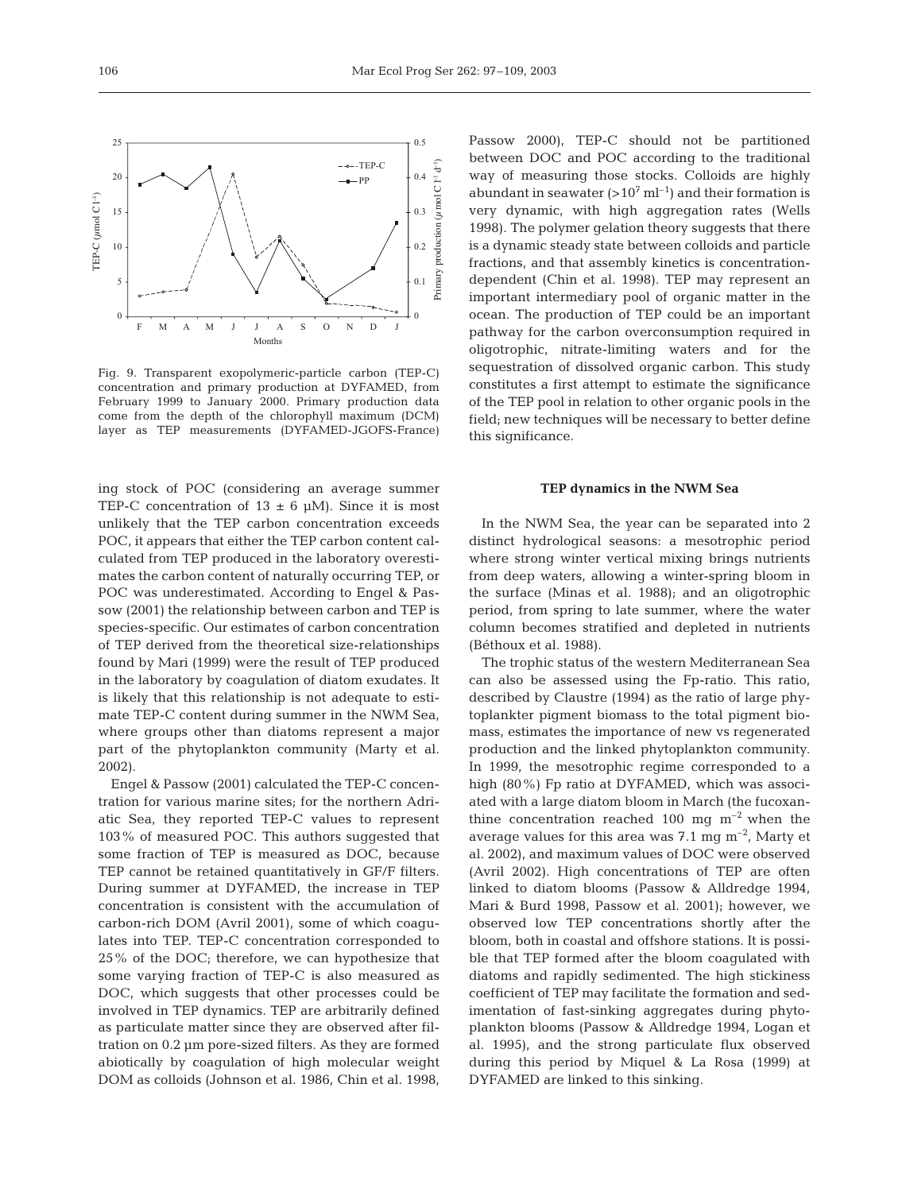$0.5$ 



Fig. 9. Transparent exopolymeric-particle carbon (TEP-C) concentration and primary production at DYFAMED, from February 1999 to January 2000. Primary production data come from the depth of the chlorophyll maximum (DCM) layer as TEP measurements (DYFAMED-JGOFS-France)

ing stock of POC (considering an average summer TEP-C concentration of  $13 \pm 6$  µM). Since it is most unlikely that the TEP carbon concentration exceeds POC, it appears that either the TEP carbon content calculated from TEP produced in the laboratory overestimates the carbon content of naturally occurring TEP, or POC was underestimated. According to Engel & Passow (2001) the relationship between carbon and TEP is species-specific. Our estimates of carbon concentration of TEP derived from the theoretical size-relationships found by Mari (1999) were the result of TEP produced in the laboratory by coagulation of diatom exudates. It is likely that this relationship is not adequate to estimate TEP-C content during summer in the NWM Sea, where groups other than diatoms represent a major part of the phytoplankton community (Marty et al. 2002).

Engel & Passow (2001) calculated the TEP-C concentration for various marine sites; for the northern Adriatic Sea, they reported TEP-C values to represent 103% of measured POC. This authors suggested that some fraction of TEP is measured as DOC, because TEP cannot be retained quantitatively in GF/F filters. During summer at DYFAMED, the increase in TEP concentration is consistent with the accumulation of carbon-rich DOM (Avril 2001), some of which coagulates into TEP. TEP-C concentration corresponded to 25% of the DOC; therefore, we can hypothesize that some varying fraction of TEP-C is also measured as DOC, which suggests that other processes could be involved in TEP dynamics. TEP are arbitrarily defined as particulate matter since they are observed after filtration on 0.2 µm pore-sized filters. As they are formed abiotically by coagulation of high molecular weight DOM as colloids (Johnson et al. 1986, Chin et al. 1998,

Passow 2000), TEP-C should not be partitioned between DOC and POC according to the traditional way of measuring those stocks. Colloids are highly abundant in seawater  $(>10^7 \text{ ml}^{-1})$  and their formation is very dynamic, with high aggregation rates (Wells 1998). The polymer gelation theory suggests that there is a dynamic steady state between colloids and particle fractions, and that assembly kinetics is concentrationdependent (Chin et al. 1998). TEP may represent an important intermediary pool of organic matter in the ocean. The production of TEP could be an important pathway for the carbon overconsumption required in oligotrophic, nitrate-limiting waters and for the sequestration of dissolved organic carbon. This study constitutes a first attempt to estimate the significance of the TEP pool in relation to other organic pools in the field; new techniques will be necessary to better define this significance.

#### **TEP dynamics in the NWM Sea**

In the NWM Sea, the year can be separated into 2 distinct hydrological seasons: a mesotrophic period where strong winter vertical mixing brings nutrients from deep waters, allowing a winter-spring bloom in the surface (Minas et al. 1988); and an oligotrophic period, from spring to late summer, where the water column becomes stratified and depleted in nutrients (Béthoux et al. 1988).

The trophic status of the western Mediterranean Sea can also be assessed using the Fp-ratio. This ratio, described by Claustre (1994) as the ratio of large phytoplankter pigment biomass to the total pigment biomass, estimates the importance of new vs regenerated production and the linked phytoplankton community. In 1999, the mesotrophic regime corresponded to a high (80%) Fp ratio at DYFAMED, which was associated with a large diatom bloom in March (the fucoxanthine concentration reached 100 mg  $m^{-2}$  when the average values for this area was  $7.1 \text{ mg m}^{-2}$ , Marty et al. 2002), and maximum values of DOC were observed (Avril 2002). High concentrations of TEP are often linked to diatom blooms (Passow & Alldredge 1994, Mari & Burd 1998, Passow et al. 2001); however, we observed low TEP concentrations shortly after the bloom, both in coastal and offshore stations. It is possible that TEP formed after the bloom coagulated with diatoms and rapidly sedimented. The high stickiness coefficient of TEP may facilitate the formation and sedimentation of fast-sinking aggregates during phytoplankton blooms (Passow & Alldredge 1994, Logan et al. 1995), and the strong particulate flux observed during this period by Miquel & La Rosa (1999) at DYFAMED are linked to this sinking.

25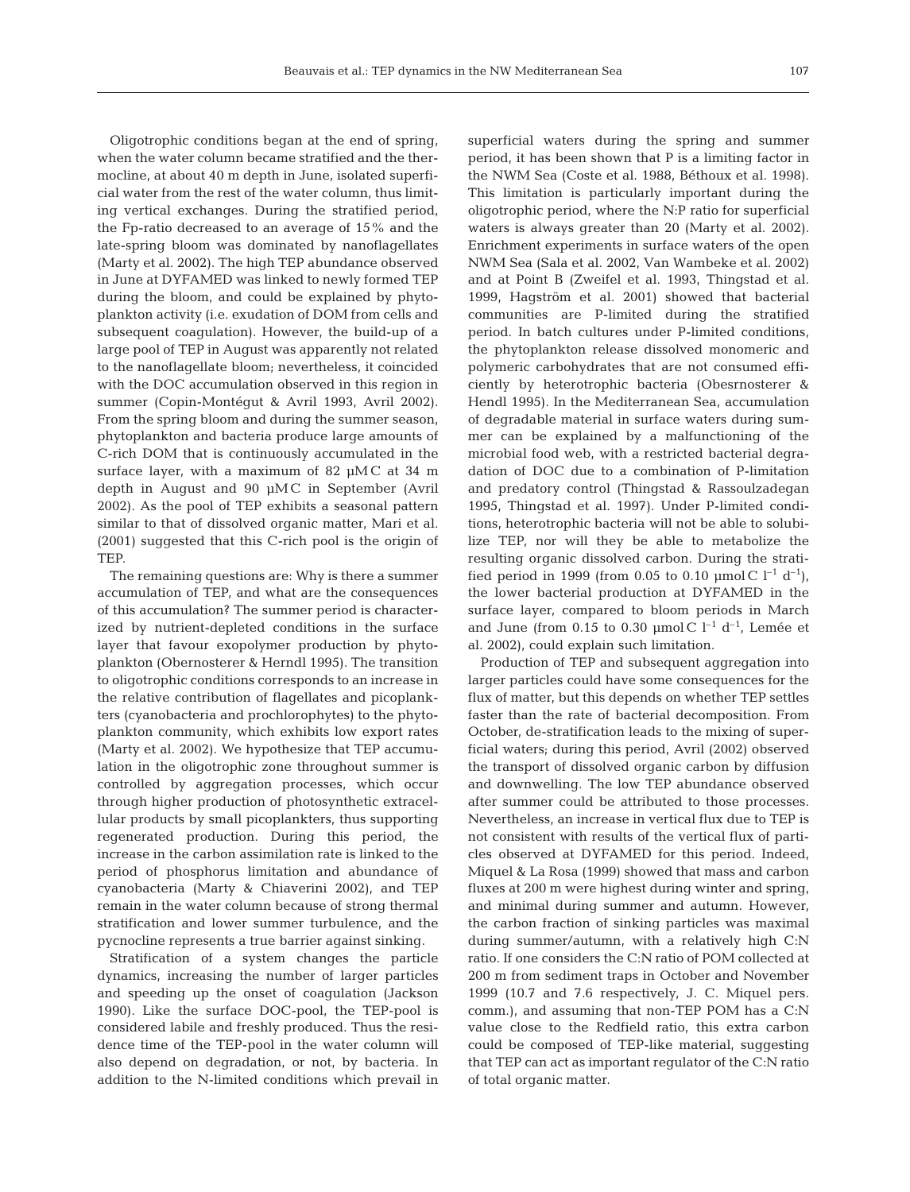Oligotrophic conditions began at the end of spring, when the water column became stratified and the thermocline, at about 40 m depth in June, isolated superficial water from the rest of the water column, thus limiting vertical exchanges. During the stratified period, the Fp-ratio decreased to an average of 15% and the late-spring bloom was dominated by nanoflagellates (Marty et al. 2002). The high TEP abundance observed in June at DYFAMED was linked to newly formed TEP during the bloom, and could be explained by phytoplankton activity (i.e. exudation of DOM from cells and subsequent coagulation). However, the build-up of a large pool of TEP in August was apparently not related to the nanoflagellate bloom; nevertheless, it coincided with the DOC accumulation observed in this region in summer (Copin-Montégut & Avril 1993, Avril 2002). From the spring bloom and during the summer season, phytoplankton and bacteria produce large amounts of C-rich DOM that is continuously accumulated in the surface layer, with a maximum of 82 µMC at 34 m depth in August and 90 µM C in September (Avril 2002). As the pool of TEP exhibits a seasonal pattern similar to that of dissolved organic matter, Mari et al. (2001) suggested that this C-rich pool is the origin of **TEP** 

The remaining questions are: Why is there a summer accumulation of TEP, and what are the consequences of this accumulation? The summer period is characterized by nutrient-depleted conditions in the surface layer that favour exopolymer production by phytoplankton (Obernosterer & Herndl 1995). The transition to oligotrophic conditions corresponds to an increase in the relative contribution of flagellates and picoplankters (cyanobacteria and prochlorophytes) to the phytoplankton community, which exhibits low export rates (Marty et al. 2002). We hypothesize that TEP accumulation in the oligotrophic zone throughout summer is controlled by aggregation processes, which occur through higher production of photosynthetic extracellular products by small picoplankters, thus supporting regenerated production. During this period, the increase in the carbon assimilation rate is linked to the period of phosphorus limitation and abundance of cyanobacteria (Marty & Chiaverini 2002), and TEP remain in the water column because of strong thermal stratification and lower summer turbulence, and the pycnocline represents a true barrier against sinking.

Stratification of a system changes the particle dynamics, increasing the number of larger particles and speeding up the onset of coagulation (Jackson 1990). Like the surface DOC-pool, the TEP-pool is considered labile and freshly produced. Thus the residence time of the TEP-pool in the water column will also depend on degradation, or not, by bacteria. In addition to the N-limited conditions which prevail in

superficial waters during the spring and summer period, it has been shown that P is a limiting factor in the NWM Sea (Coste et al. 1988, Béthoux et al. 1998). This limitation is particularly important during the oligotrophic period, where the N:P ratio for superficial waters is always greater than 20 (Marty et al. 2002). Enrichment experiments in surface waters of the open NWM Sea (Sala et al. 2002, Van Wambeke et al. 2002) and at Point B (Zweifel et al. 1993, Thingstad et al. 1999, Hagström et al. 2001) showed that bacterial communities are P-limited during the stratified period. In batch cultures under P-limited conditions, the phytoplankton release dissolved monomeric and polymeric carbohydrates that are not consumed efficiently by heterotrophic bacteria (Obesrnosterer & Hendl 1995). In the Mediterranean Sea, accumulation of degradable material in surface waters during summer can be explained by a malfunctioning of the microbial food web, with a restricted bacterial degradation of DOC due to a combination of P-limitation and predatory control (Thingstad & Rassoulzadegan 1995, Thingstad et al. 1997). Under P-limited conditions, heterotrophic bacteria will not be able to solubilize TEP, nor will they be able to metabolize the resulting organic dissolved carbon. During the stratified period in 1999 (from 0.05 to 0.10  $\mu$ mol C l<sup>-1</sup> d<sup>-1</sup>), the lower bacterial production at DYFAMED in the surface layer, compared to bloom periods in March and June (from 0.15 to 0.30 µmol C  $l^{-1}$  d<sup>-1</sup>, Lemée et al. 2002), could explain such limitation.

Production of TEP and subsequent aggregation into larger particles could have some consequences for the flux of matter, but this depends on whether TEP settles faster than the rate of bacterial decomposition. From October, de-stratification leads to the mixing of superficial waters; during this period, Avril (2002) observed the transport of dissolved organic carbon by diffusion and downwelling. The low TEP abundance observed after summer could be attributed to those processes. Nevertheless, an increase in vertical flux due to TEP is not consistent with results of the vertical flux of particles observed at DYFAMED for this period. Indeed, Miquel & La Rosa (1999) showed that mass and carbon fluxes at 200 m were highest during winter and spring, and minimal during summer and autumn. However, the carbon fraction of sinking particles was maximal during summer/autumn, with a relatively high C:N ratio. If one considers the C:N ratio of POM collected at 200 m from sediment traps in October and November 1999 (10.7 and 7.6 respectively, J. C. Miquel pers. comm.), and assuming that non-TEP POM has a C:N value close to the Redfield ratio, this extra carbon could be composed of TEP-like material, suggesting that TEP can act as important regulator of the C:N ratio of total organic matter.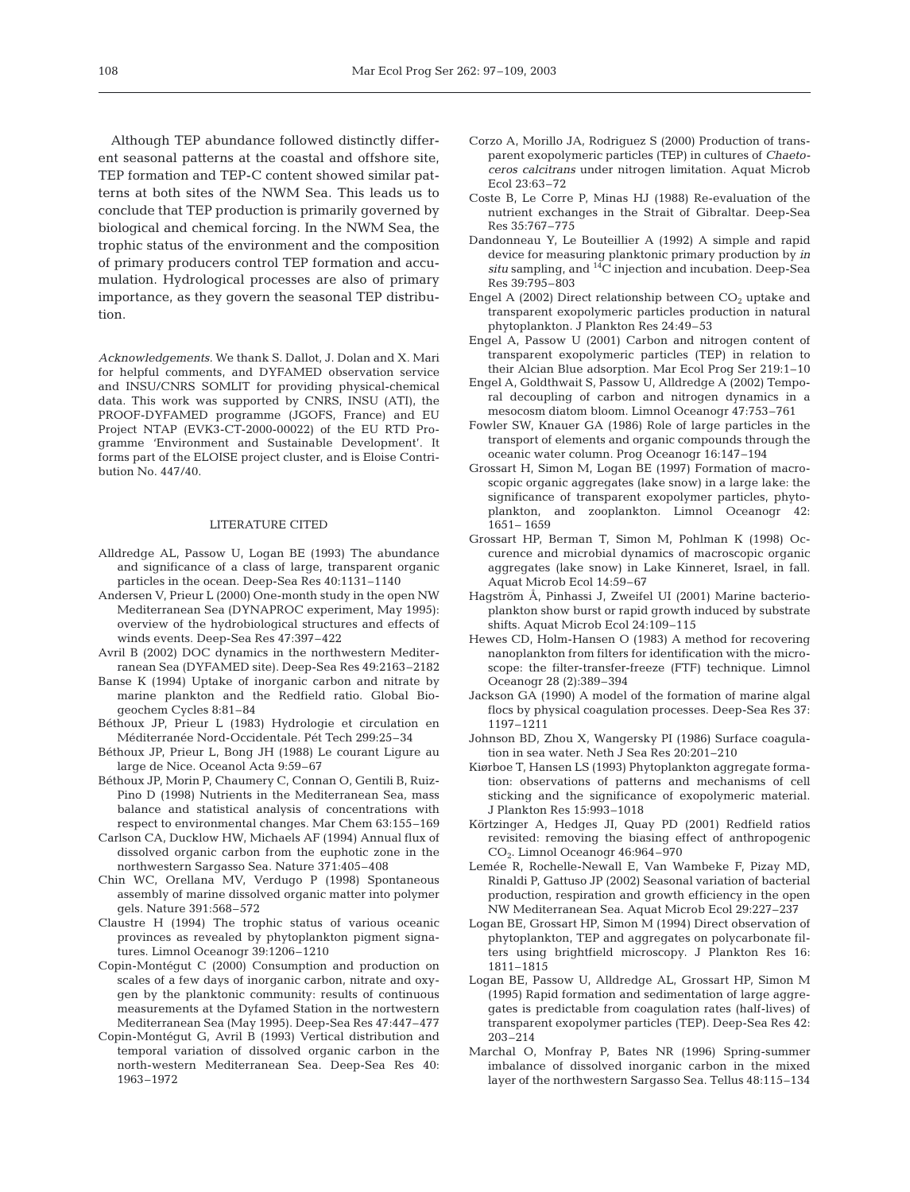Although TEP abundance followed distinctly different seasonal patterns at the coastal and offshore site, TEP formation and TEP-C content showed similar patterns at both sites of the NWM Sea. This leads us to conclude that TEP production is primarily governed by biological and chemical forcing. In the NWM Sea, the trophic status of the environment and the composition of primary producers control TEP formation and accumulation. Hydrological processes are also of primary importance, as they govern the seasonal TEP distribution.

*Acknowledgements.* We thank S. Dallot, J. Dolan and X. Mari for helpful comments, and DYFAMED observation service and INSU/CNRS SOMLIT for providing physical-chemical data. This work was supported by CNRS, INSU (ATI), the PROOF-DYFAMED programme (JGOFS, France) and EU Project NTAP (EVK3-CT-2000-00022) of the EU RTD Programme 'Environment and Sustainable Development'. It forms part of the ELOISE project cluster, and is Eloise Contribution No. 447/40.

#### LITERATURE CITED

- Alldredge AL, Passow U, Logan BE (1993) The abundance and significance of a class of large, transparent organic particles in the ocean. Deep-Sea Res 40:1131–1140
- Andersen V, Prieur L (2000) One-month study in the open NW Mediterranean Sea (DYNAPROC experiment, May 1995): overview of the hydrobiological structures and effects of winds events. Deep-Sea Res 47:397–422
- Avril B (2002) DOC dynamics in the northwestern Mediterranean Sea (DYFAMED site). Deep-Sea Res 49:2163–2182
- Banse K (1994) Uptake of inorganic carbon and nitrate by marine plankton and the Redfield ratio. Global Biogeochem Cycles 8:81–84
- Béthoux JP, Prieur L (1983) Hydrologie et circulation en Méditerranée Nord-Occidentale. Pét Tech 299:25–34
- Béthoux JP, Prieur L, Bong JH (1988) Le courant Ligure au large de Nice. Oceanol Acta 9:59–67
- Béthoux JP, Morin P, Chaumery C, Connan O, Gentili B, Ruiz-Pino D (1998) Nutrients in the Mediterranean Sea, mass balance and statistical analysis of concentrations with respect to environmental changes. Mar Chem 63:155–169
- Carlson CA, Ducklow HW, Michaels AF (1994) Annual flux of dissolved organic carbon from the euphotic zone in the northwestern Sargasso Sea. Nature 371:405–408
- Chin WC, Orellana MV, Verdugo P (1998) Spontaneous assembly of marine dissolved organic matter into polymer gels. Nature 391:568–572
- Claustre H (1994) The trophic status of various oceanic provinces as revealed by phytoplankton pigment signatures. Limnol Oceanogr 39:1206–1210
- Copin-Montégut C (2000) Consumption and production on scales of a few days of inorganic carbon, nitrate and oxygen by the planktonic community: results of continuous measurements at the Dyfamed Station in the nortwestern Mediterranean Sea (May 1995). Deep-Sea Res 47:447–477
- Copin-Montégut G, Avril B (1993) Vertical distribution and temporal variation of dissolved organic carbon in the north-western Mediterranean Sea. Deep-Sea Res 40: 1963–1972
- Corzo A, Morillo JA, Rodriguez S (2000) Production of transparent exopolymeric particles (TEP) in cultures of *Chaetoceros calcitrans* under nitrogen limitation. Aquat Microb Ecol 23:63–72
- Coste B, Le Corre P, Minas HJ (1988) Re-evaluation of the nutrient exchanges in the Strait of Gibraltar. Deep-Sea Res 35:767–775
- Dandonneau Y, Le Bouteillier A (1992) A simple and rapid device for measuring planktonic primary production by *in situ* sampling, and 14C injection and incubation. Deep-Sea Res 39:795–803
- Engel A (2002) Direct relationship between  $CO<sub>2</sub>$  uptake and transparent exopolymeric particles production in natural phytoplankton. J Plankton Res 24:49–53
- Engel A, Passow U (2001) Carbon and nitrogen content of transparent exopolymeric particles (TEP) in relation to their Alcian Blue adsorption. Mar Ecol Prog Ser 219:1–10
- Engel A, Goldthwait S, Passow U, Alldredge A (2002) Temporal decoupling of carbon and nitrogen dynamics in a mesocosm diatom bloom. Limnol Oceanogr 47:753–761
- Fowler SW, Knauer GA (1986) Role of large particles in the transport of elements and organic compounds through the oceanic water column. Prog Oceanogr 16:147–194
- Grossart H, Simon M, Logan BE (1997) Formation of macroscopic organic aggregates (lake snow) in a large lake: the significance of transparent exopolymer particles, phytoplankton, and zooplankton. Limnol Oceanogr 42: 1651– 1659
- Grossart HP, Berman T, Simon M, Pohlman K (1998) Occurence and microbial dynamics of macroscopic organic aggregates (lake snow) in Lake Kinneret, Israel, in fall. Aquat Microb Ecol 14:59–67
- Hagström Å, Pinhassi J, Zweifel UI (2001) Marine bacterioplankton show burst or rapid growth induced by substrate shifts. Aquat Microb Ecol 24:109–115
- Hewes CD, Holm-Hansen O (1983) A method for recovering nanoplankton from filters for identification with the microscope: the filter-transfer-freeze (FTF) technique. Limnol Oceanogr 28 (2):389–394
- Jackson GA (1990) A model of the formation of marine algal flocs by physical coagulation processes. Deep-Sea Res 37: 1197–1211
- Johnson BD, Zhou X, Wangersky PI (1986) Surface coagulation in sea water. Neth J Sea Res 20:201–210
- Kiørboe T, Hansen LS (1993) Phytoplankton aggregate formation: observations of patterns and mechanisms of cell sticking and the significance of exopolymeric material. J Plankton Res 15:993–1018
- Körtzinger A, Hedges JI, Quay PD (2001) Redfield ratios revisited: removing the biasing effect of anthropogenic CO2. Limnol Oceanogr 46:964–970
- Lemée R, Rochelle-Newall E, Van Wambeke F, Pizay MD, Rinaldi P, Gattuso JP (2002) Seasonal variation of bacterial production, respiration and growth efficiency in the open NW Mediterranean Sea. Aquat Microb Ecol 29:227–237
- Logan BE, Grossart HP, Simon M (1994) Direct observation of phytoplankton, TEP and aggregates on polycarbonate filters using brightfield microscopy. J Plankton Res 16: 1811–1815
- Logan BE, Passow U, Alldredge AL, Grossart HP, Simon M (1995) Rapid formation and sedimentation of large aggregates is predictable from coagulation rates (half-lives) of transparent exopolymer particles (TEP). Deep-Sea Res 42: 203–214
- Marchal O, Monfray P, Bates NR (1996) Spring-summer imbalance of dissolved inorganic carbon in the mixed layer of the northwestern Sargasso Sea. Tellus 48:115–134